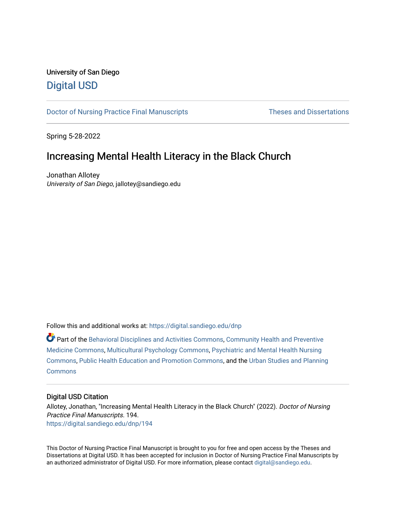## University of San Diego [Digital USD](https://digital.sandiego.edu/)

[Doctor of Nursing Practice Final Manuscripts](https://digital.sandiego.edu/dnp) Theses and Dissertations

Spring 5-28-2022

# Increasing Mental Health Literacy in the Black Church

Jonathan Allotey University of San Diego, jallotey@sandiego.edu

Follow this and additional works at: [https://digital.sandiego.edu/dnp](https://digital.sandiego.edu/dnp?utm_source=digital.sandiego.edu%2Fdnp%2F194&utm_medium=PDF&utm_campaign=PDFCoverPages) 

Part of the [Behavioral Disciplines and Activities Commons](http://network.bepress.com/hgg/discipline/980?utm_source=digital.sandiego.edu%2Fdnp%2F194&utm_medium=PDF&utm_campaign=PDFCoverPages), [Community Health and Preventive](http://network.bepress.com/hgg/discipline/744?utm_source=digital.sandiego.edu%2Fdnp%2F194&utm_medium=PDF&utm_campaign=PDFCoverPages) [Medicine Commons](http://network.bepress.com/hgg/discipline/744?utm_source=digital.sandiego.edu%2Fdnp%2F194&utm_medium=PDF&utm_campaign=PDFCoverPages), [Multicultural Psychology Commons](http://network.bepress.com/hgg/discipline/1237?utm_source=digital.sandiego.edu%2Fdnp%2F194&utm_medium=PDF&utm_campaign=PDFCoverPages), [Psychiatric and Mental Health Nursing](http://network.bepress.com/hgg/discipline/724?utm_source=digital.sandiego.edu%2Fdnp%2F194&utm_medium=PDF&utm_campaign=PDFCoverPages)  [Commons](http://network.bepress.com/hgg/discipline/724?utm_source=digital.sandiego.edu%2Fdnp%2F194&utm_medium=PDF&utm_campaign=PDFCoverPages), [Public Health Education and Promotion Commons](http://network.bepress.com/hgg/discipline/743?utm_source=digital.sandiego.edu%2Fdnp%2F194&utm_medium=PDF&utm_campaign=PDFCoverPages), and the [Urban Studies and Planning](http://network.bepress.com/hgg/discipline/436?utm_source=digital.sandiego.edu%2Fdnp%2F194&utm_medium=PDF&utm_campaign=PDFCoverPages)  **[Commons](http://network.bepress.com/hgg/discipline/436?utm_source=digital.sandiego.edu%2Fdnp%2F194&utm_medium=PDF&utm_campaign=PDFCoverPages)** 

## Digital USD Citation

Allotey, Jonathan, "Increasing Mental Health Literacy in the Black Church" (2022). Doctor of Nursing Practice Final Manuscripts. 194. [https://digital.sandiego.edu/dnp/194](https://digital.sandiego.edu/dnp/194?utm_source=digital.sandiego.edu%2Fdnp%2F194&utm_medium=PDF&utm_campaign=PDFCoverPages) 

This Doctor of Nursing Practice Final Manuscript is brought to you for free and open access by the Theses and Dissertations at Digital USD. It has been accepted for inclusion in Doctor of Nursing Practice Final Manuscripts by an authorized administrator of Digital USD. For more information, please contact [digital@sandiego.edu](mailto:digital@sandiego.edu).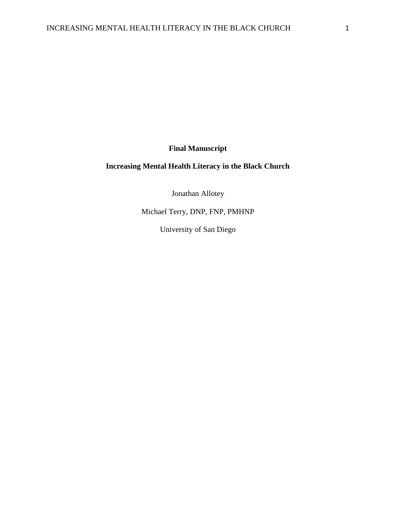**Final Manuscript**

## **Increasing Mental Health Literacy in the Black Church**

Jonathan Allotey

Michael Terry, DNP, FNP, PMHNP

University of San Diego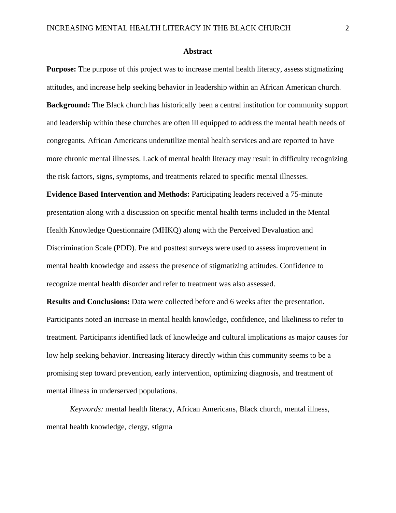#### **Abstract**

**Purpose:** The purpose of this project was to increase mental health literacy, assess stigmatizing attitudes, and increase help seeking behavior in leadership within an African American church. **Background:** The Black church has historically been a central institution for community support and leadership within these churches are often ill equipped to address the mental health needs of congregants. African Americans underutilize mental health services and are reported to have more chronic mental illnesses. Lack of mental health literacy may result in difficulty recognizing the risk factors, signs, symptoms, and treatments related to specific mental illnesses.

**Evidence Based Intervention and Methods:** Participating leaders received a 75-minute presentation along with a discussion on specific mental health terms included in the Mental Health Knowledge Questionnaire (MHKQ) along with the Perceived Devaluation and Discrimination Scale (PDD). Pre and posttest surveys were used to assess improvement in mental health knowledge and assess the presence of stigmatizing attitudes. Confidence to recognize mental health disorder and refer to treatment was also assessed.

**Results and Conclusions:** Data were collected before and 6 weeks after the presentation. Participants noted an increase in mental health knowledge, confidence, and likeliness to refer to treatment. Participants identified lack of knowledge and cultural implications as major causes for low help seeking behavior. Increasing literacy directly within this community seems to be a promising step toward prevention, early intervention, optimizing diagnosis, and treatment of mental illness in underserved populations.

*Keywords:* mental health literacy, African Americans, Black church, mental illness, mental health knowledge, clergy, stigma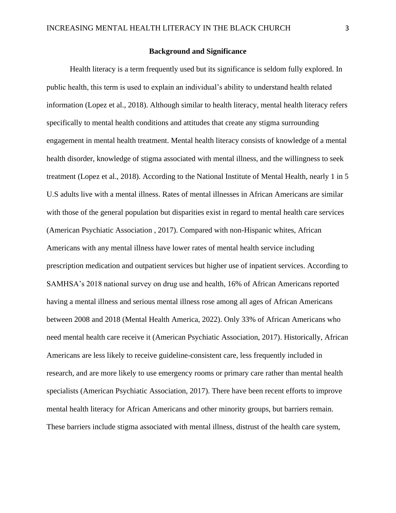#### **Background and Significance**

Health literacy is a term frequently used but its significance is seldom fully explored. In public health, this term is used to explain an individual's ability to understand health related information (Lopez et al., 2018). Although similar to health literacy, mental health literacy refers specifically to mental health conditions and attitudes that create any stigma surrounding engagement in mental health treatment. Mental health literacy consists of knowledge of a mental health disorder, knowledge of stigma associated with mental illness, and the willingness to seek treatment (Lopez et al., 2018). According to the National Institute of Mental Health, nearly 1 in 5 U.S adults live with a mental illness. Rates of mental illnesses in African Americans are similar with those of the general population but disparities exist in regard to mental health care services (American Psychiatic Association , 2017). Compared with non-Hispanic whites, African Americans with any mental illness have lower rates of mental health service including prescription medication and outpatient services but higher use of inpatient services. According to SAMHSA's 2018 national survey on drug use and health, 16% of African Americans reported having a mental illness and serious mental illness rose among all ages of African Americans between 2008 and 2018 (Mental Health America, 2022). Only 33% of African Americans who need mental health care receive it (American Psychiatic Association, 2017). Historically, African Americans are less likely to receive guideline-consistent care, less frequently included in research, and are more likely to use emergency rooms or primary care rather than mental health specialists (American Psychiatic Association, 2017). There have been recent efforts to improve mental health literacy for African Americans and other minority groups, but barriers remain. These barriers include stigma associated with mental illness, distrust of the health care system,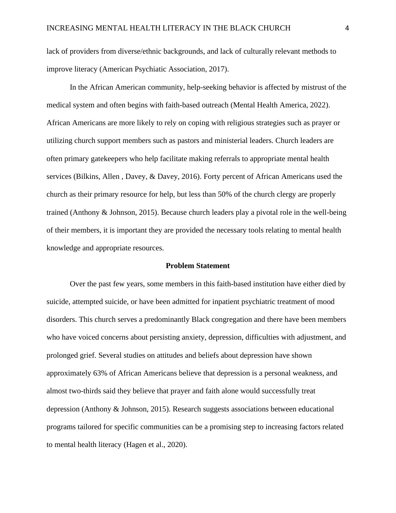lack of providers from diverse/ethnic backgrounds, and lack of culturally relevant methods to improve literacy (American Psychiatic Association, 2017).

In the African American community, help-seeking behavior is affected by mistrust of the medical system and often begins with faith-based outreach (Mental Health America, 2022). African Americans are more likely to rely on coping with religious strategies such as prayer or utilizing church support members such as pastors and ministerial leaders. Church leaders are often primary gatekeepers who help facilitate making referrals to appropriate mental health services (Bilkins, Allen , Davey, & Davey, 2016). Forty percent of African Americans used the church as their primary resource for help, but less than 50% of the church clergy are properly trained (Anthony & Johnson, 2015). Because church leaders play a pivotal role in the well-being of their members, it is important they are provided the necessary tools relating to mental health knowledge and appropriate resources.

#### **Problem Statement**

Over the past few years, some members in this faith-based institution have either died by suicide, attempted suicide, or have been admitted for inpatient psychiatric treatment of mood disorders. This church serves a predominantly Black congregation and there have been members who have voiced concerns about persisting anxiety, depression, difficulties with adjustment, and prolonged grief. Several studies on attitudes and beliefs about depression have shown approximately 63% of African Americans believe that depression is a personal weakness, and almost two-thirds said they believe that prayer and faith alone would successfully treat depression (Anthony & Johnson, 2015). Research suggests associations between educational programs tailored for specific communities can be a promising step to increasing factors related to mental health literacy (Hagen et al., 2020).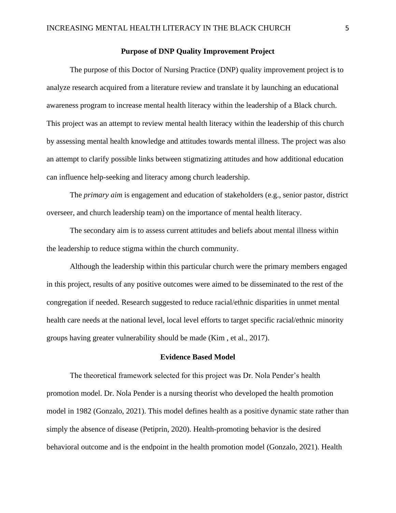## **Purpose of DNP Quality Improvement Project**

The purpose of this Doctor of Nursing Practice (DNP) quality improvement project is to analyze research acquired from a literature review and translate it by launching an educational awareness program to increase mental health literacy within the leadership of a Black church. This project was an attempt to review mental health literacy within the leadership of this church by assessing mental health knowledge and attitudes towards mental illness. The project was also an attempt to clarify possible links between stigmatizing attitudes and how additional education can influence help-seeking and literacy among church leadership.

The *primary aim* is engagement and education of stakeholders (e.g., senior pastor, district overseer, and church leadership team) on the importance of mental health literacy.

The secondary aim is to assess current attitudes and beliefs about mental illness within the leadership to reduce stigma within the church community.

Although the leadership within this particular church were the primary members engaged in this project, results of any positive outcomes were aimed to be disseminated to the rest of the congregation if needed. Research suggested to reduce racial/ethnic disparities in unmet mental health care needs at the national level, local level efforts to target specific racial/ethnic minority groups having greater vulnerability should be made (Kim , et al., 2017).

## **Evidence Based Model**

The theoretical framework selected for this project was Dr. Nola Pender's health promotion model. Dr. Nola Pender is a nursing theorist who developed the health promotion model in 1982 (Gonzalo, 2021). This model defines health as a positive dynamic state rather than simply the absence of disease (Petiprin, 2020). Health-promoting behavior is the desired behavioral outcome and is the endpoint in the health promotion model (Gonzalo, 2021). Health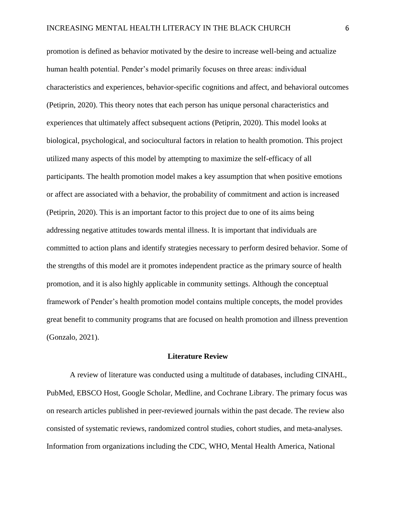promotion is defined as behavior motivated by the desire to increase well-being and actualize human health potential. Pender's model primarily focuses on three areas: individual characteristics and experiences, behavior-specific cognitions and affect, and behavioral outcomes (Petiprin, 2020). This theory notes that each person has unique personal characteristics and experiences that ultimately affect subsequent actions (Petiprin, 2020). This model looks at biological, psychological, and sociocultural factors in relation to health promotion. This project utilized many aspects of this model by attempting to maximize the self-efficacy of all participants. The health promotion model makes a key assumption that when positive emotions or affect are associated with a behavior, the probability of commitment and action is increased (Petiprin, 2020). This is an important factor to this project due to one of its aims being addressing negative attitudes towards mental illness. It is important that individuals are committed to action plans and identify strategies necessary to perform desired behavior. Some of the strengths of this model are it promotes independent practice as the primary source of health promotion, and it is also highly applicable in community settings. Although the conceptual framework of Pender's health promotion model contains multiple concepts, the model provides great benefit to community programs that are focused on health promotion and illness prevention (Gonzalo, 2021).

## **Literature Review**

A review of literature was conducted using a multitude of databases, including CINAHL, PubMed, EBSCO Host, Google Scholar, Medline, and Cochrane Library. The primary focus was on research articles published in peer-reviewed journals within the past decade. The review also consisted of systematic reviews, randomized control studies, cohort studies, and meta-analyses. Information from organizations including the CDC, WHO, Mental Health America, National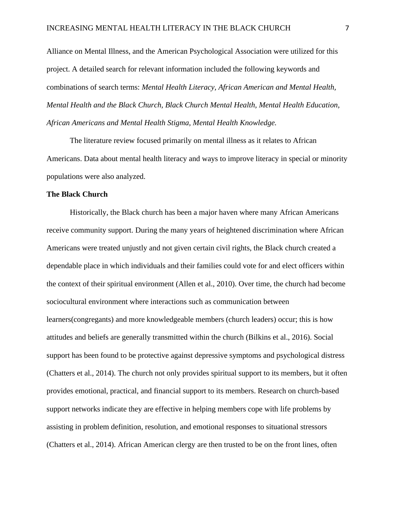Alliance on Mental Illness, and the American Psychological Association were utilized for this project. A detailed search for relevant information included the following keywords and combinations of search terms: *Mental Health Literacy, African American and Mental Health, Mental Health and the Black Church, Black Church Mental Health, Mental Health Education, African Americans and Mental Health Stigma, Mental Health Knowledge.* 

The literature review focused primarily on mental illness as it relates to African Americans. Data about mental health literacy and ways to improve literacy in special or minority populations were also analyzed.

## **The Black Church**

Historically, the Black church has been a major haven where many African Americans receive community support. During the many years of heightened discrimination where African Americans were treated unjustly and not given certain civil rights, the Black church created a dependable place in which individuals and their families could vote for and elect officers within the context of their spiritual environment (Allen et al., 2010). Over time, the church had become sociocultural environment where interactions such as communication between learners(congregants) and more knowledgeable members (church leaders) occur; this is how attitudes and beliefs are generally transmitted within the church (Bilkins et al., 2016). Social support has been found to be protective against depressive symptoms and psychological distress (Chatters et al., 2014). The church not only provides spiritual support to its members, but it often provides emotional, practical, and financial support to its members. Research on church-based support networks indicate they are effective in helping members cope with life problems by assisting in problem definition, resolution, and emotional responses to situational stressors (Chatters et al., 2014). African American clergy are then trusted to be on the front lines, often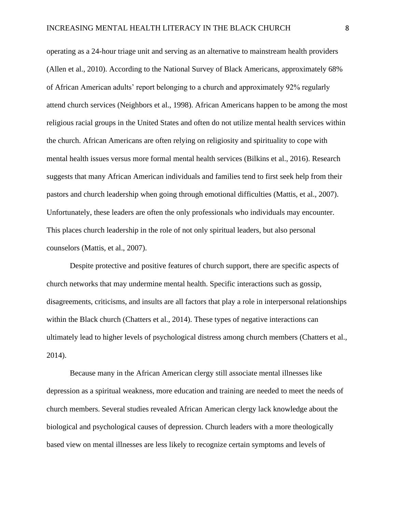operating as a 24-hour triage unit and serving as an alternative to mainstream health providers (Allen et al., 2010). According to the National Survey of Black Americans, approximately 68% of African American adults' report belonging to a church and approximately 92% regularly attend church services (Neighbors et al., 1998). African Americans happen to be among the most religious racial groups in the United States and often do not utilize mental health services within the church. African Americans are often relying on religiosity and spirituality to cope with mental health issues versus more formal mental health services (Bilkins et al., 2016). Research suggests that many African American individuals and families tend to first seek help from their pastors and church leadership when going through emotional difficulties (Mattis, et al., 2007). Unfortunately, these leaders are often the only professionals who individuals may encounter. This places church leadership in the role of not only spiritual leaders, but also personal counselors (Mattis, et al., 2007).

Despite protective and positive features of church support, there are specific aspects of church networks that may undermine mental health. Specific interactions such as gossip, disagreements, criticisms, and insults are all factors that play a role in interpersonal relationships within the Black church (Chatters et al., 2014). These types of negative interactions can ultimately lead to higher levels of psychological distress among church members (Chatters et al., 2014).

Because many in the African American clergy still associate mental illnesses like depression as a spiritual weakness, more education and training are needed to meet the needs of church members. Several studies revealed African American clergy lack knowledge about the biological and psychological causes of depression. Church leaders with a more theologically based view on mental illnesses are less likely to recognize certain symptoms and levels of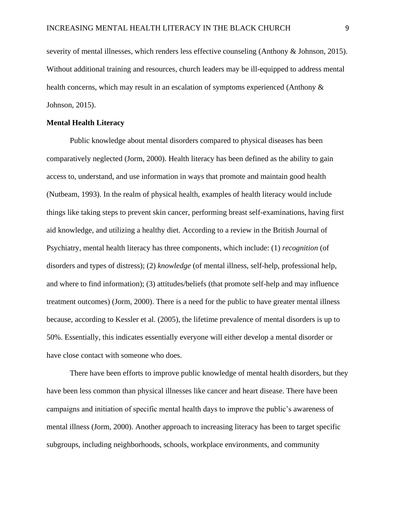severity of mental illnesses, which renders less effective counseling (Anthony & Johnson, 2015). Without additional training and resources, church leaders may be ill-equipped to address mental health concerns, which may result in an escalation of symptoms experienced (Anthony & Johnson, 2015).

#### **Mental Health Literacy**

Public knowledge about mental disorders compared to physical diseases has been comparatively neglected (Jorm, 2000). Health literacy has been defined as the ability to gain access to, understand, and use information in ways that promote and maintain good health (Nutbeam, 1993). In the realm of physical health, examples of health literacy would include things like taking steps to prevent skin cancer, performing breast self-examinations, having first aid knowledge, and utilizing a healthy diet. According to a review in the British Journal of Psychiatry, mental health literacy has three components, which include: (1) *recognition* (of disorders and types of distress); (2) *knowledge* (of mental illness, self-help, professional help, and where to find information); (3) attitudes/beliefs (that promote self-help and may influence treatment outcomes) (Jorm, 2000). There is a need for the public to have greater mental illness because, according to Kessler et al. (2005), the lifetime prevalence of mental disorders is up to 50%. Essentially, this indicates essentially everyone will either develop a mental disorder or have close contact with someone who does.

There have been efforts to improve public knowledge of mental health disorders, but they have been less common than physical illnesses like cancer and heart disease. There have been campaigns and initiation of specific mental health days to improve the public's awareness of mental illness (Jorm, 2000). Another approach to increasing literacy has been to target specific subgroups, including neighborhoods, schools, workplace environments, and community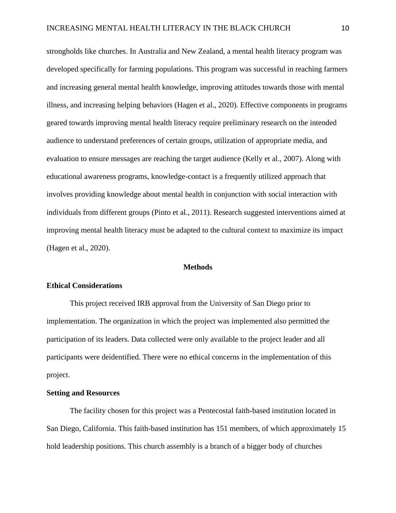strongholds like churches. In Australia and New Zealand, a mental health literacy program was developed specifically for farming populations. This program was successful in reaching farmers and increasing general mental health knowledge, improving attitudes towards those with mental illness, and increasing helping behaviors (Hagen et al., 2020). Effective components in programs geared towards improving mental health literacy require preliminary research on the intended audience to understand preferences of certain groups, utilization of appropriate media, and evaluation to ensure messages are reaching the target audience (Kelly et al., 2007). Along with educational awareness programs, knowledge-contact is a frequently utilized approach that involves providing knowledge about mental health in conjunction with social interaction with individuals from different groups (Pinto et al., 2011). Research suggested interventions aimed at improving mental health literacy must be adapted to the cultural context to maximize its impact (Hagen et al., 2020).

#### **Methods**

#### **Ethical Considerations**

This project received IRB approval from the University of San Diego prior to implementation. The organization in which the project was implemented also permitted the participation of its leaders. Data collected were only available to the project leader and all participants were deidentified. There were no ethical concerns in the implementation of this project.

## **Setting and Resources**

The facility chosen for this project was a Pentecostal faith-based institution located in San Diego, California. This faith-based institution has 151 members, of which approximately 15 hold leadership positions. This church assembly is a branch of a bigger body of churches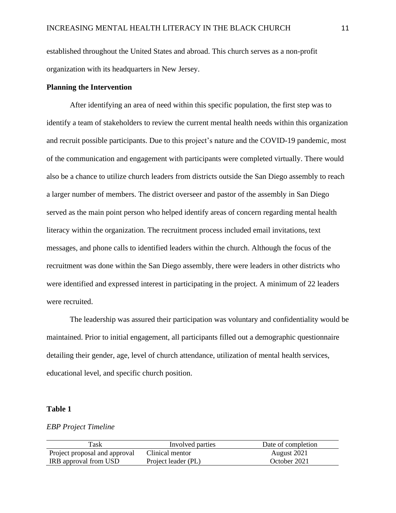established throughout the United States and abroad. This church serves as a non-profit organization with its headquarters in New Jersey.

## **Planning the Intervention**

After identifying an area of need within this specific population, the first step was to identify a team of stakeholders to review the current mental health needs within this organization and recruit possible participants. Due to this project's nature and the COVID-19 pandemic, most of the communication and engagement with participants were completed virtually. There would also be a chance to utilize church leaders from districts outside the San Diego assembly to reach a larger number of members. The district overseer and pastor of the assembly in San Diego served as the main point person who helped identify areas of concern regarding mental health literacy within the organization. The recruitment process included email invitations, text messages, and phone calls to identified leaders within the church. Although the focus of the recruitment was done within the San Diego assembly, there were leaders in other districts who were identified and expressed interest in participating in the project. A minimum of 22 leaders were recruited.

The leadership was assured their participation was voluntary and confidentiality would be maintained. Prior to initial engagement, all participants filled out a demographic questionnaire detailing their gender, age, level of church attendance, utilization of mental health services, educational level, and specific church position.

## **Table 1**

## *EBP Project Timeline*

| Task                          | Involved parties    | Date of completion |
|-------------------------------|---------------------|--------------------|
| Project proposal and approval | Clinical mentor     | August 2021        |
| IRB approval from USD         | Project leader (PL) | October 2021       |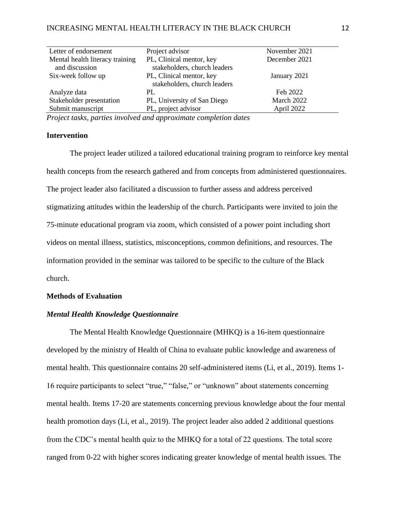| Letter of endorsement           | Project advisor              | November 2021 |
|---------------------------------|------------------------------|---------------|
| Mental health literacy training | PL, Clinical mentor, key     | December 2021 |
| and discussion                  | stakeholders, church leaders |               |
| Six-week follow up              | PL, Clinical mentor, key     | January 2021  |
|                                 | stakeholders, church leaders |               |
| Analyze data                    | PL                           | Feb 2022      |
| Stakeholder presentation        | PL, University of San Diego  | March 2022    |
| Submit manuscript               | PL, project advisor          | April 2022    |

*Project tasks, parties involved and approximate completion dates*

## **Intervention**

The project leader utilized a tailored educational training program to reinforce key mental health concepts from the research gathered and from concepts from administered questionnaires. The project leader also facilitated a discussion to further assess and address perceived stigmatizing attitudes within the leadership of the church. Participants were invited to join the 75-minute educational program via zoom, which consisted of a power point including short videos on mental illness, statistics, misconceptions, common definitions, and resources. The information provided in the seminar was tailored to be specific to the culture of the Black church.

## **Methods of Evaluation**

## *Mental Health Knowledge Questionnaire*

The Mental Health Knowledge Questionnaire (MHKQ) is a 16-item questionnaire developed by the ministry of Health of China to evaluate public knowledge and awareness of mental health. This questionnaire contains 20 self-administered items (Li, et al., 2019). Items 1- 16 require participants to select "true," "false," or "unknown" about statements concerning mental health. Items 17-20 are statements concerning previous knowledge about the four mental health promotion days (Li, et al., 2019). The project leader also added 2 additional questions from the CDC's mental health quiz to the MHKQ for a total of 22 questions. The total score ranged from 0-22 with higher scores indicating greater knowledge of mental health issues. The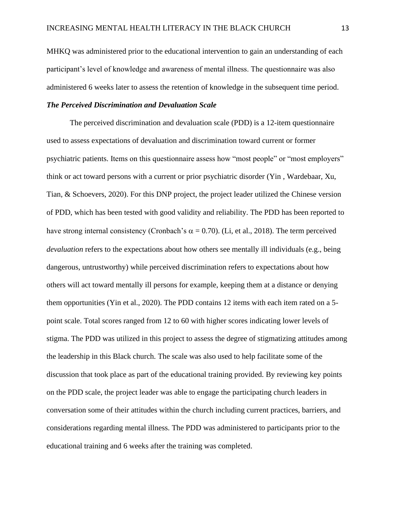MHKQ was administered prior to the educational intervention to gain an understanding of each participant's level of knowledge and awareness of mental illness. The questionnaire was also administered 6 weeks later to assess the retention of knowledge in the subsequent time period.

## *The Perceived Discrimination and Devaluation Scale*

The perceived discrimination and devaluation scale (PDD) is a 12-item questionnaire used to assess expectations of devaluation and discrimination toward current or former psychiatric patients. Items on this questionnaire assess how "most people" or "most employers" think or act toward persons with a current or prior psychiatric disorder (Yin , Wardebaar, Xu, Tian, & Schoevers, 2020). For this DNP project, the project leader utilized the Chinese version of PDD, which has been tested with good validity and reliability. The PDD has been reported to have strong internal consistency (Cronbach's  $\alpha = 0.70$ ). (Li, et al., 2018). The term perceived *devaluation* refers to the expectations about how others see mentally ill individuals (e.g., being dangerous, untrustworthy) while perceived discrimination refers to expectations about how others will act toward mentally ill persons for example, keeping them at a distance or denying them opportunities (Yin et al., 2020). The PDD contains 12 items with each item rated on a 5 point scale. Total scores ranged from 12 to 60 with higher scores indicating lower levels of stigma. The PDD was utilized in this project to assess the degree of stigmatizing attitudes among the leadership in this Black church. The scale was also used to help facilitate some of the discussion that took place as part of the educational training provided. By reviewing key points on the PDD scale, the project leader was able to engage the participating church leaders in conversation some of their attitudes within the church including current practices, barriers, and considerations regarding mental illness. The PDD was administered to participants prior to the educational training and 6 weeks after the training was completed.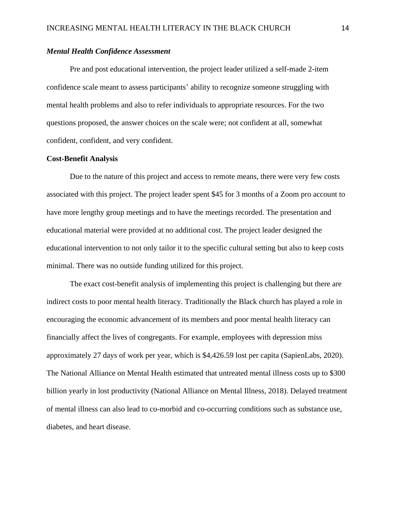## *Mental Health Confidence Assessment*

Pre and post educational intervention, the project leader utilized a self-made 2-item confidence scale meant to assess participants' ability to recognize someone struggling with mental health problems and also to refer individuals to appropriate resources. For the two questions proposed, the answer choices on the scale were; not confident at all, somewhat confident, confident, and very confident.

#### **Cost-Benefit Analysis**

Due to the nature of this project and access to remote means, there were very few costs associated with this project. The project leader spent \$45 for 3 months of a Zoom pro account to have more lengthy group meetings and to have the meetings recorded. The presentation and educational material were provided at no additional cost. The project leader designed the educational intervention to not only tailor it to the specific cultural setting but also to keep costs minimal. There was no outside funding utilized for this project.

The exact cost-benefit analysis of implementing this project is challenging but there are indirect costs to poor mental health literacy. Traditionally the Black church has played a role in encouraging the economic advancement of its members and poor mental health literacy can financially affect the lives of congregants. For example, employees with depression miss approximately 27 days of work per year, which is \$4,426.59 lost per capita (SapienLabs, 2020). The National Alliance on Mental Health estimated that untreated mental illness costs up to \$300 billion yearly in lost productivity (National Alliance on Mental Illness, 2018). Delayed treatment of mental illness can also lead to co-morbid and co-occurring conditions such as substance use, diabetes, and heart disease.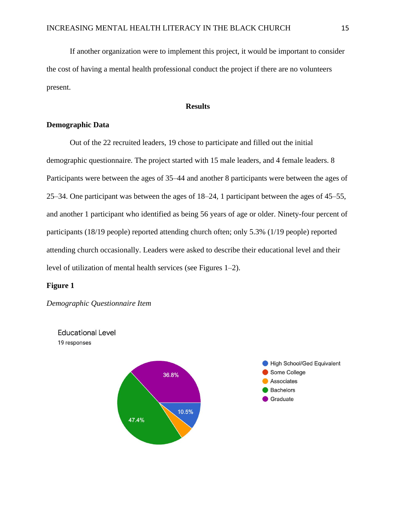If another organization were to implement this project, it would be important to consider the cost of having a mental health professional conduct the project if there are no volunteers present.

## **Results**

## **Demographic Data**

Out of the 22 recruited leaders, 19 chose to participate and filled out the initial demographic questionnaire. The project started with 15 male leaders, and 4 female leaders. 8 Participants were between the ages of 35–44 and another 8 participants were between the ages of 25–34. One participant was between the ages of 18–24, 1 participant between the ages of 45–55, and another 1 participant who identified as being 56 years of age or older. Ninety-four percent of participants (18/19 people) reported attending church often; only 5.3% (1/19 people) reported attending church occasionally. Leaders were asked to describe their educational level and their level of utilization of mental health services (see Figures 1–2).

### **Figure 1**

*Demographic Questionnaire Item* 

**Educational Level** 19 responses

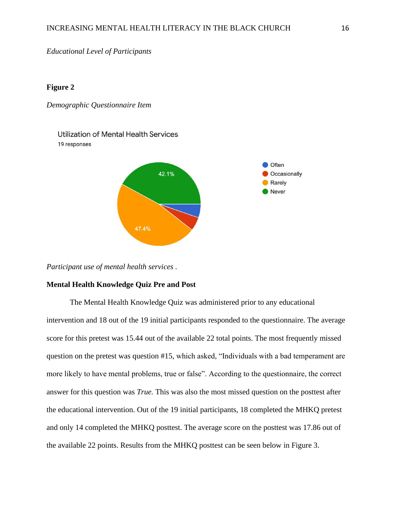*Educational Level of Participants* 

### **Figure 2**

*Demographic Questionnaire Item* 

**Utilization of Mental Health Services** 19 responses



*Participant use of mental health services .* 

## **Mental Health Knowledge Quiz Pre and Post**

The Mental Health Knowledge Quiz was administered prior to any educational intervention and 18 out of the 19 initial participants responded to the questionnaire. The average score for this pretest was 15.44 out of the available 22 total points. The most frequently missed question on the pretest was question #15, which asked, "Individuals with a bad temperament are more likely to have mental problems, true or false". According to the questionnaire, the correct answer for this question was *True.* This was also the most missed question on the posttest after the educational intervention. Out of the 19 initial participants, 18 completed the MHKQ pretest and only 14 completed the MHKQ posttest. The average score on the posttest was 17.86 out of the available 22 points. Results from the MHKQ posttest can be seen below in Figure 3.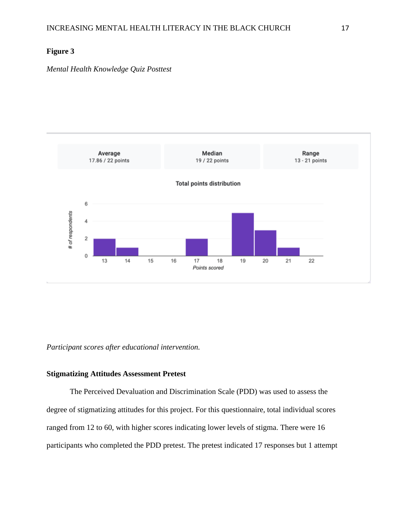## **Figure 3**

*Mental Health Knowledge Quiz Posttest* 



*Participant scores after educational intervention.* 

## **Stigmatizing Attitudes Assessment Pretest**

The Perceived Devaluation and Discrimination Scale (PDD) was used to assess the degree of stigmatizing attitudes for this project. For this questionnaire, total individual scores ranged from 12 to 60, with higher scores indicating lower levels of stigma. There were 16 participants who completed the PDD pretest. The pretest indicated 17 responses but 1 attempt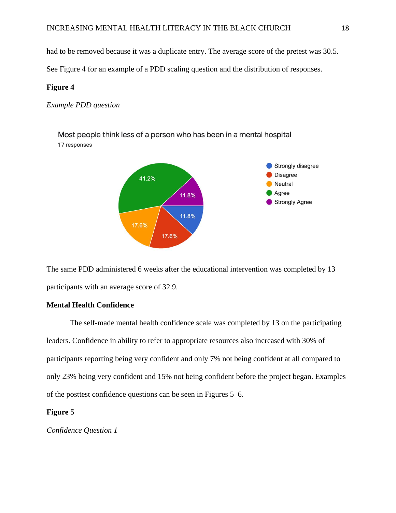had to be removed because it was a duplicate entry. The average score of the pretest was 30.5.

See Figure 4 for an example of a PDD scaling question and the distribution of responses.

#### **Figure 4**

*Example PDD question* 

Most people think less of a person who has been in a mental hospital 17 responses



The same PDD administered 6 weeks after the educational intervention was completed by 13 participants with an average score of 32.9.

## **Mental Health Confidence**

The self-made mental health confidence scale was completed by 13 on the participating leaders. Confidence in ability to refer to appropriate resources also increased with 30% of participants reporting being very confident and only 7% not being confident at all compared to only 23% being very confident and 15% not being confident before the project began. Examples of the posttest confidence questions can be seen in Figures 5–6.

## **Figure 5**

*Confidence Question 1*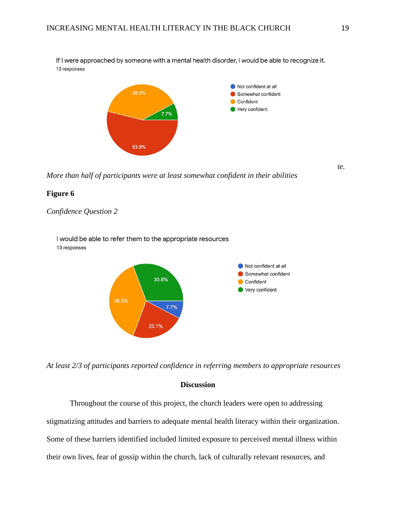If I were approached by someone with a mental health disorder, I would be able to recognize it. 13 responses



*More than half of participants were at least somewhat confident in their abilities* 

#### **Figure 6**

## *Confidence Question 2*

I would be able to refer them to the appropriate resources 13 responses



*At least 2/3 of participants reported confidence in referring members to appropriate resources*

## **Discussion**

Throughout the course of this project, the church leaders were open to addressing stigmatizing attitudes and barriers to adequate mental health literacy within their organization. Some of these barriers identified included limited exposure to perceived mental illness within their own lives, fear of gossip within the church, lack of culturally relevant resources, and

*te.*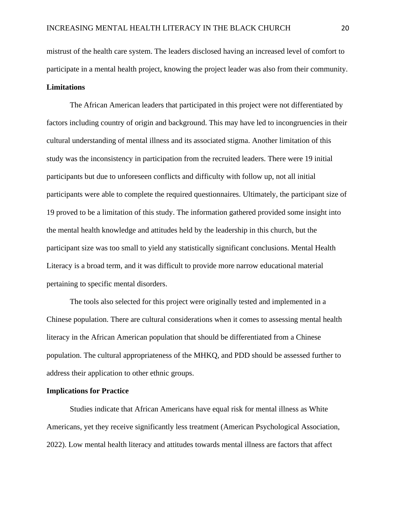mistrust of the health care system. The leaders disclosed having an increased level of comfort to participate in a mental health project, knowing the project leader was also from their community. **Limitations**

The African American leaders that participated in this project were not differentiated by factors including country of origin and background. This may have led to incongruencies in their cultural understanding of mental illness and its associated stigma. Another limitation of this study was the inconsistency in participation from the recruited leaders. There were 19 initial participants but due to unforeseen conflicts and difficulty with follow up, not all initial participants were able to complete the required questionnaires. Ultimately, the participant size of 19 proved to be a limitation of this study. The information gathered provided some insight into the mental health knowledge and attitudes held by the leadership in this church, but the participant size was too small to yield any statistically significant conclusions. Mental Health Literacy is a broad term, and it was difficult to provide more narrow educational material pertaining to specific mental disorders.

The tools also selected for this project were originally tested and implemented in a Chinese population. There are cultural considerations when it comes to assessing mental health literacy in the African American population that should be differentiated from a Chinese population. The cultural appropriateness of the MHKQ, and PDD should be assessed further to address their application to other ethnic groups.

#### **Implications for Practice**

Studies indicate that African Americans have equal risk for mental illness as White Americans, yet they receive significantly less treatment (American Psychological Association, 2022). Low mental health literacy and attitudes towards mental illness are factors that affect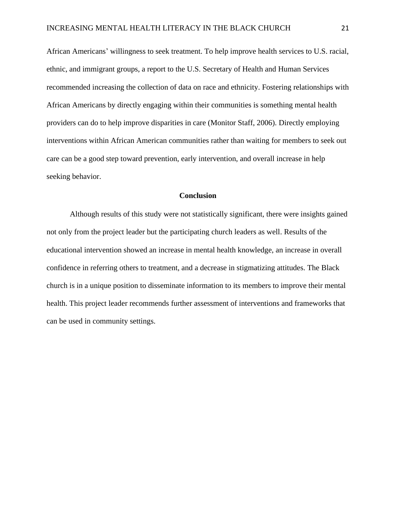African Americans' willingness to seek treatment. To help improve health services to U.S. racial, ethnic, and immigrant groups, a report to the U.S. Secretary of Health and Human Services recommended increasing the collection of data on race and ethnicity. Fostering relationships with African Americans by directly engaging within their communities is something mental health providers can do to help improve disparities in care (Monitor Staff, 2006). Directly employing interventions within African American communities rather than waiting for members to seek out care can be a good step toward prevention, early intervention, and overall increase in help seeking behavior.

#### **Conclusion**

Although results of this study were not statistically significant, there were insights gained not only from the project leader but the participating church leaders as well. Results of the educational intervention showed an increase in mental health knowledge, an increase in overall confidence in referring others to treatment, and a decrease in stigmatizing attitudes. The Black church is in a unique position to disseminate information to its members to improve their mental health. This project leader recommends further assessment of interventions and frameworks that can be used in community settings.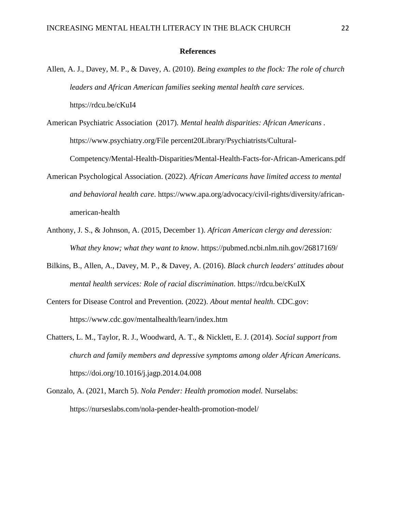#### **References**

- Allen, A. J., Davey, M. P., & Davey, A. (2010). *Being examples to the flock: The role of church leaders and African American families seeking mental health care services*. https://rdcu.be/cKuI4
- American Psychiatric Association (2017). *Mental health disparities: African Americans .* https://www.psychiatry.org/File percent20Library/Psychiatrists/Cultural-

Competency/Mental-Health-Disparities/Mental-Health-Facts-for-African-Americans.pdf

- American Psychological Association. (2022). *African Americans have limited access to mental and behavioral health care*. https://www.apa.org/advocacy/civil-rights/diversity/africanamerican-health
- Anthony, J. S., & Johnson, A. (2015, December 1). *African American clergy and deression: What they know; what they want to know*. https://pubmed.ncbi.nlm.nih.gov/26817169/
- Bilkins, B., Allen, A., Davey, M. P., & Davey, A. (2016). *Black church leaders' attitudes about mental health services: Role of racial discrimination*. https://rdcu.be/cKuIX
- Centers for Disease Control and Prevention. (2022). *About mental health*. CDC.gov: https://www.cdc.gov/mentalhealth/learn/index.htm
- Chatters, L. M., Taylor, R. J., Woodward, A. T., & Nicklett, E. J. (2014). *Social support from church and family members and depressive symptoms among older African Americans*. https://doi.org/10.1016/j.jagp.2014.04.008
- Gonzalo, A. (2021, March 5). *Nola Pender: Health promotion model.* Nurselabs: https://nurseslabs.com/nola-pender-health-promotion-model/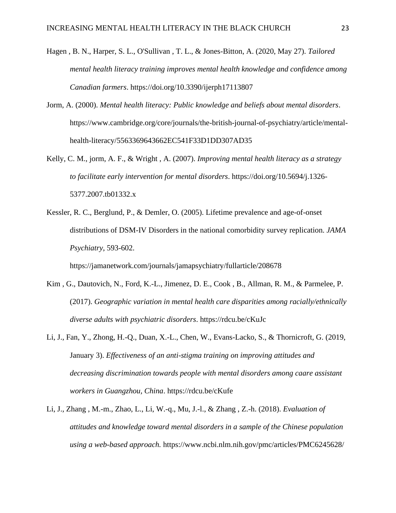- Hagen , B. N., Harper, S. L., O'Sullivan , T. L., & Jones-Bitton, A. (2020, May 27). *Tailored mental health literacy training improves mental health knowledge and confidence among Canadian farmers*. https://doi.org/10.3390/ijerph17113807
- Jorm, A. (2000). *Mental health literacy: Public knowledge and beliefs about mental disorders*. https://www.cambridge.org/core/journals/the-british-journal-of-psychiatry/article/mentalhealth-literacy/5563369643662EC541F33D1DD307AD35
- Kelly, C. M., jorm, A. F., & Wright , A. (2007). *Improving mental health literacy as a strategy to facilitate early intervention for mental disorders*. https://doi.org/10.5694/j.1326- 5377.2007.tb01332.x
- Kessler, R. C., Berglund, P., & Demler, O. (2005). Lifetime prevalence and age-of-onset distributions of DSM-IV Disorders in the national comorbidity survey replication. *JAMA Psychiatry*, 593-602.

https://jamanetwork.com/journals/jamapsychiatry/fullarticle/208678

- Kim , G., Dautovich, N., Ford, K.-L., Jimenez, D. E., Cook , B., Allman, R. M., & Parmelee, P. (2017). *Geographic variation in mental health care disparities among racially/ethnically diverse adults with psychiatric disorders*. https://rdcu.be/cKuJc
- Li, J., Fan, Y., Zhong, H.-Q., Duan, X.-L., Chen, W., Evans-Lacko, S., & Thornicroft, G. (2019, January 3). *Effectiveness of an anti-stigma training on improving attitudes and decreasing discrimination towards people with mental disorders among caare assistant workers in Guangzhou, China*. https://rdcu.be/cKufe
- Li, J., Zhang , M.-m., Zhao, L., Li, W.-q., Mu, J.-l., & Zhang , Z.-h. (2018). *Evaluation of attitudes and knowledge toward mental disorders in a sample of the Chinese population using a web-based approach.* https://www.ncbi.nlm.nih.gov/pmc/articles/PMC6245628/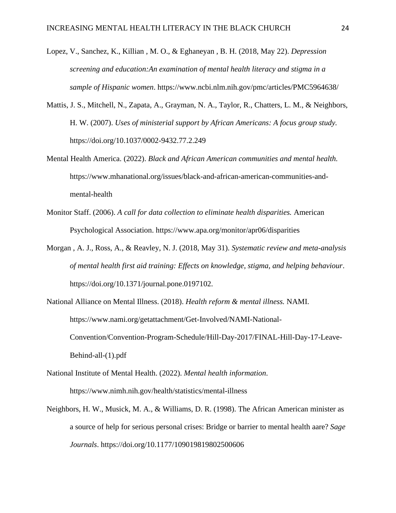- Lopez, V., Sanchez, K., Killian , M. O., & Eghaneyan , B. H. (2018, May 22). *Depression screening and education:An examination of mental health literacy and stigma in a sample of Hispanic women*. https://www.ncbi.nlm.nih.gov/pmc/articles/PMC5964638/
- Mattis, J. S., Mitchell, N., Zapata, A., Grayman, N. A., Taylor, R., Chatters, L. M., & Neighbors, H. W. (2007). *Uses of ministerial support by African Americans: A focus group study.* https://doi.org/10.1037/0002-9432.77.2.249
- Mental Health America. (2022). *Black and African American communities and mental health.* https://www.mhanational.org/issues/black-and-african-american-communities-andmental-health
- Monitor Staff. (2006). *A call for data collection to eliminate health disparities.* American Psychological Association. https://www.apa.org/monitor/apr06/disparities
- Morgan , A. J., Ross, A., & Reavley, N. J. (2018, May 31). *Systematic review and meta-analysis of mental health first aid training: Effects on knowledge, stigma, and helping behaviour*. https://doi.org/10.1371/journal.pone.0197102.
- National Alliance on Mental Illness. (2018). *Health reform & mental illness.* NAMI. https://www.nami.org/getattachment/Get-Involved/NAMI-National-Convention/Convention-Program-Schedule/Hill-Day-2017/FINAL-Hill-Day-17-Leave-Behind-all-(1).pdf
- National Institute of Mental Health. (2022). *Mental health information*. https://www.nimh.nih.gov/health/statistics/mental-illness
- Neighbors, H. W., Musick, M. A., & Williams, D. R. (1998). The African American minister as a source of help for serious personal crises: Bridge or barrier to mental health aare? *Sage Journals*. https://doi.org/10.1177/109019819802500606